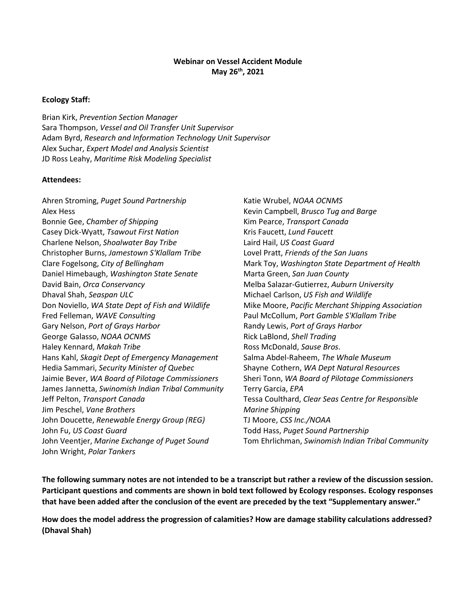#### **Webinar on Vessel Accident Module May 26th, 2021**

#### **Ecology Staff:**

Brian Kirk, *Prevention Section Manager* Sara Thompson, *Vessel and Oil Transfer Unit Supervisor* Adam Byrd, *Research and Information Technology Unit Supervisor* Alex Suchar, *Expert Model and Analysis Scientist* JD Ross Leahy, *Maritime Risk Modeling Specialist*

#### **Attendees:**

Ahren Stroming, *Puget Sound Partnership* Alex Hess Bonnie Gee, *Chamber of Shipping* Casey Dick-Wyatt, *Tsawout First Nation* Charlene Nelson, *Shoalwater Bay Tribe* Christopher Burns, *Jamestown S'Klallam Tribe* Clare Fogelsong, *City of Bellingham* Daniel Himebaugh, *Washington State Senate* David Bain, *Orca Conservancy* Dhaval Shah, *Seaspan ULC* Don Noviello, *WA State Dept of Fish and Wildlife* Fred Felleman, *WAVE Consulting* Gary Nelson, *Port of Grays Harbor* George Galasso, *NOAA OCNMS* Haley Kennard, *Makah Tribe* Hans Kahl, *Skagit Dept of Emergency Management* Hedia Sammari, *Security Minister of Quebec* Jaimie Bever, *WA Board of Pilotage Commissioners* James Jannetta, *Swinomish Indian Tribal Community* Jeff Pelton, *Transport Canada* Jim Peschel, *Vane Brothers* John Doucette, *Renewable Energy Group (REG)* John Fu, *US Coast Guard* John Veentjer, *Marine Exchange of Puget Sound* John Wright, *Polar Tankers*

Katie Wrubel, *NOAA OCNMS* Kevin Campbell, *Brusco Tug and Barge* Kim Pearce, *Transport Canada* Kris Faucett, *Lund Faucett* Laird Hail, *US Coast Guard* Lovel Pratt, *Friends of the San Juans* Mark Toy, *Washington State Department of Health* Marta Green, *San Juan County* Melba Salazar-Gutierrez, *Auburn University* Michael Carlson, *US Fish and Wildlife* Mike Moore, *Pacific Merchant Shipping Association* Paul McCollum, *Port Gamble S'Klallam Tribe* Randy Lewis, *Port of Grays Harbor* Rick LaBlond, *Shell Trading* Ross McDonald, *Sause Bros*. Salma Abdel-Raheem, *The Whale Museum* Shayne Cothern, *WA Dept Natural Resources* Sheri Tonn, *WA Board of Pilotage Commissioners* Terry Garcia, *EPA* Tessa Coulthard, *Clear Seas Centre for Responsible Marine Shipping* TJ Moore, *CSS Inc./NOAA* Todd Hass, *Puget Sound Partnership* Tom Ehrlichman, *Swinomish Indian Tribal Community*

**The following summary notes are not intended to be a transcript but rather a review of the discussion session. Participant questions and comments are shown in bold text followed by Ecology responses. Ecology responses that have been added after the conclusion of the event are preceded by the text "Supplementary answer."**

**How does the model address the progression of calamities? How are damage stability calculations addressed? (Dhaval Shah)**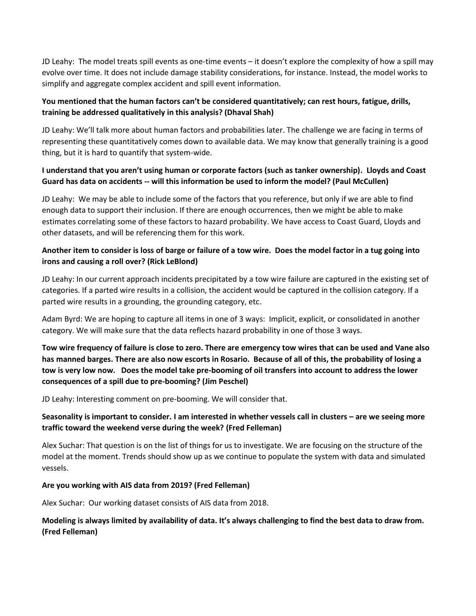JD Leahy: The model treats spill events as one-time events – it doesn't explore the complexity of how a spill may evolve over time. It does not include damage stability considerations, for instance. Instead, the model works to simplify and aggregate complex accident and spill event information.

### **You mentioned that the human factors can't be considered quantitatively; can rest hours, fatigue, drills, training be addressed qualitatively in this analysis? (Dhaval Shah)**

JD Leahy: We'll talk more about human factors and probabilities later. The challenge we are facing in terms of representing these quantitatively comes down to available data. We may know that generally training is a good thing, but it is hard to quantify that system-wide.

### **I understand that you aren't using human or corporate factors (such as tanker ownership). Lloyds and Coast Guard has data on accidents -- will this information be used to inform the model? (Paul McCullen)**

JD Leahy: We may be able to include some of the factors that you reference, but only if we are able to find enough data to support their inclusion. If there are enough occurrences, then we might be able to make estimates correlating some of these factors to hazard probability. We have access to Coast Guard, Lloyds and other datasets, and will be referencing them for this work.

## **Another item to consider is loss of barge or failure of a tow wire. Does the model factor in a tug going into irons and causing a roll over? (Rick LeBlond)**

JD Leahy: In our current approach incidents precipitated by a tow wire failure are captured in the existing set of categories. If a parted wire results in a collision, the accident would be captured in the collision category. If a parted wire results in a grounding, the grounding category, etc.

Adam Byrd: We are hoping to capture all items in one of 3 ways: Implicit, explicit, or consolidated in another category. We will make sure that the data reflects hazard probability in one of those 3 ways.

**Tow wire frequency of failure is close to zero. There are emergency tow wires that can be used and Vane also has manned barges. There are also now escorts in Rosario. Because of all of this, the probability of losing a tow is very low now. Does the model take pre-booming of oil transfers into account to address the lower consequences of a spill due to pre-booming? (Jim Peschel)**

JD Leahy: Interesting comment on pre-booming. We will consider that.

## **Seasonality is important to consider. I am interested in whether vessels call in clusters – are we seeing more traffic toward the weekend verse during the week? (Fred Felleman)**

Alex Suchar: That question is on the list of things for us to investigate. We are focusing on the structure of the model at the moment. Trends should show up as we continue to populate the system with data and simulated vessels.

### **Are you working with AIS data from 2019? (Fred Felleman)**

Alex Suchar: Our working dataset consists of AIS data from 2018.

### **Modeling is always limited by availability of data. It's always challenging to find the best data to draw from. (Fred Felleman)**